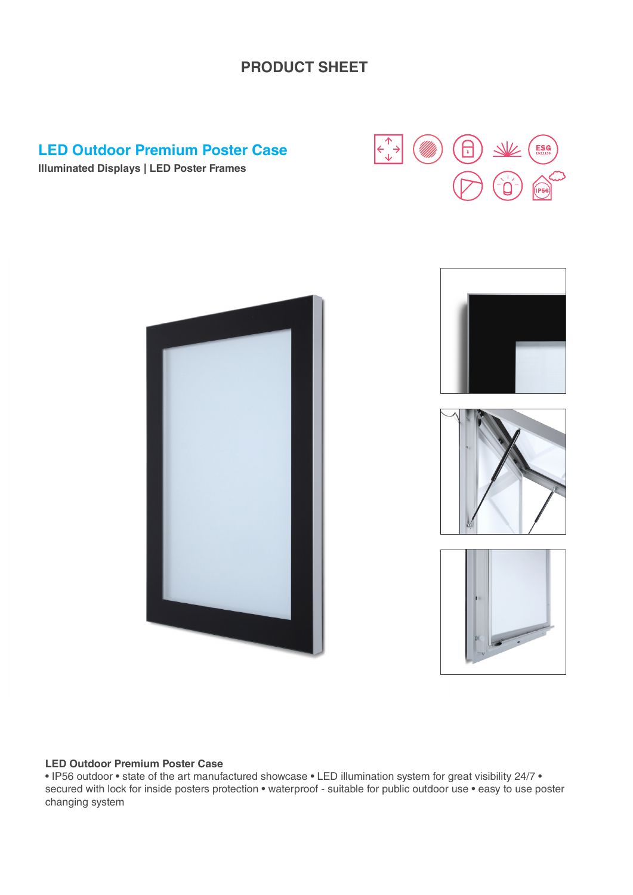#### **PRODUCT SHEET**

#### **LED Outdoor Premium Poster Case**



**Illuminated Displays | LED Poster Frames**



#### **LED Outdoor Premium Poster Case**

• IP56 outdoor • state of the art manufactured showcase • LED illumination system for great visibility 24/7 • secured with lock for inside posters protection • waterproof - suitable for public outdoor use • easy to use poster changing system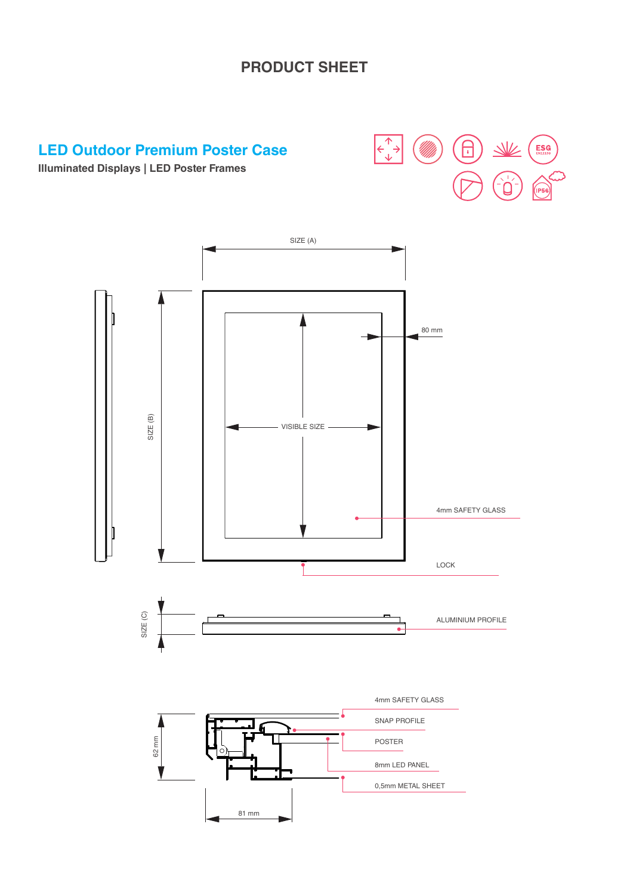## **PRODUCT SHEET**

### **LED Outdoor Premium Poster Case**



**Illuminated Displays | LED Poster Frames**